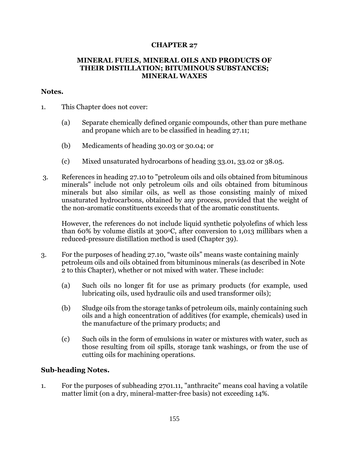## **CHAPTER 27**

## **MINERAL FUELS, MINERAL OILS AND PRODUCTS OF THEIR DISTILLATION; BITUMINOUS SUBSTANCES; MINERAL WAXES**

#### **Notes.**

- 1. This Chapter does not cover:
	- (a) Separate chemically defined organic compounds, other than pure methane and propane which are to be classified in heading 27.11;
	- (b) Medicaments of heading 30.03 or 30.04; or
	- (c) Mixed unsaturated hydrocarbons of heading 33.01, 33.02 or 38.05.
- 3. References in heading 27.10 to "petroleum oils and oils obtained from bituminous minerals" include not only petroleum oils and oils obtained from bituminous minerals but also similar oils, as well as those consisting mainly of mixed unsaturated hydrocarbons, obtained by any process, provided that the weight of the non-aromatic constituents exceeds that of the aromatic constituents.

However, the references do not include liquid synthetic polyolefins of which less than 60% by volume distils at  $300^{\circ}$ C, after conversion to 1,013 millibars when a reduced-pressure distillation method is used (Chapter 39).

- 3. For the purposes of heading 27.10, "waste oils" means waste containing mainly petroleum oils and oils obtained from bituminous minerals (as described in Note 2 to this Chapter), whether or not mixed with water. These include:
	- (a) Such oils no longer fit for use as primary products (for example, used lubricating oils, used hydraulic oils and used transformer oils);
	- (b) Sludge oils from the storage tanks of petroleum oils, mainly containing such oils and a high concentration of additives (for example, chemicals) used in the manufacture of the primary products; and
	- (c) Such oils in the form of emulsions in water or mixtures with water, such as those resulting from oil spills, storage tank washings, or from the use of cutting oils for machining operations.

### **Sub-heading Notes.**

1. For the purposes of subheading 2701.11, "anthracite" means coal having a volatile matter limit (on a dry, mineral-matter-free basis) not exceeding 14%.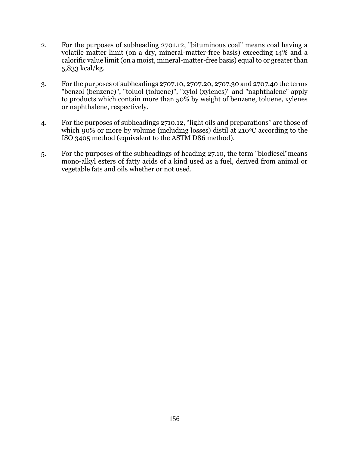- 2. For the purposes of subheading 2701.12, "bituminous coal" means coal having a volatile matter limit (on a dry, mineral-matter-free basis) exceeding 14% and a calorific value limit (on a moist, mineral-matter-free basis) equal to or greater than 5,833 kcal/kg.
- 3. For the purposes of subheadings 2707.10, 2707.20, 2707.30 and 2707.40 the terms "benzol (benzene)", "toluol (toluene)", "xylol (xylenes)" and "naphthalene" apply to products which contain more than 50% by weight of benzene, toluene, xylenes or naphthalene, respectively.
- 4. For the purposes of subheadings 2710.12, "light oils and preparations" are those of which 90% or more by volume (including losses) distil at  $210^{\circ}$ C according to the ISO 3405 method (equivalent to the ASTM D86 method).
- 5. For the purposes of the subheadings of heading 27.10, the term "biodiesel"means mono-alkyl esters of fatty acids of a kind used as a fuel, derived from animal or vegetable fats and oils whether or not used.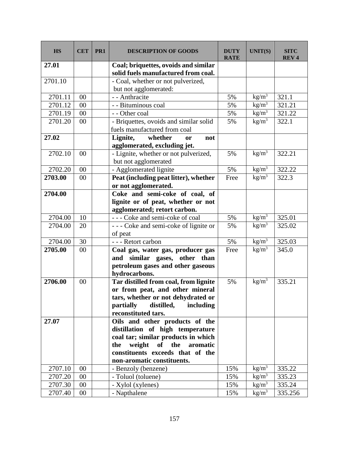| <b>HS</b>            | <b>CET</b> | PR <sub>1</sub> | <b>DESCRIPTION OF GOODS</b>                     | <b>DUTY</b><br><b>RATE</b> | <b>UNIT(S)</b>    | <b>SITC</b><br><b>REV4</b> |
|----------------------|------------|-----------------|-------------------------------------------------|----------------------------|-------------------|----------------------------|
| 27.01                |            |                 | Coal; briquettes, ovoids and similar            |                            |                   |                            |
|                      |            |                 | solid fuels manufactured from coal.             |                            |                   |                            |
| 2701.10              |            |                 | - Coal, whether or not pulverized,              |                            |                   |                            |
|                      |            |                 | but not agglomerated:                           |                            |                   |                            |
| 2701.11              | 00         |                 | - - Anthracite                                  | 5%                         | kg/m <sup>3</sup> | 321.1                      |
| $\overline{2701.12}$ | 00         |                 | - - Bituminous coal                             | 5%                         | $\text{kg/m}^3$   | 321.21                     |
| 2701.19              | 00         |                 | - - Other coal                                  | 5%                         | $\text{kg/m}^3$   | 321.22                     |
| 2701.20              | 00         |                 | - Briquettes, ovoids and similar solid          | 5%                         | $\text{kg/m}^3$   | 322.1                      |
|                      |            |                 | fuels manufactured from coal                    |                            |                   |                            |
| 27.02                |            |                 | Lignite,<br>whether<br>not<br><b>or</b>         |                            |                   |                            |
|                      |            |                 | agglomerated, excluding jet.                    |                            |                   |                            |
| 2702.10              | 00         |                 | - Lignite, whether or not pulverized,           | 5%                         | kg/m <sup>3</sup> | 322.21                     |
|                      |            |                 | but not agglomerated                            |                            |                   |                            |
| 2702.20              | 00         |                 | - Agglomerated lignite                          | 5%                         | kg/m <sup>3</sup> | 322.22                     |
| 2703.00              | 00         |                 | Peat (including peat litter), whether           | Free                       | $\text{kg/m}^3$   | 322.3                      |
|                      |            |                 | or not agglomerated.                            |                            |                   |                            |
| 2704.00              |            |                 | Coke and semi-coke of coal, of                  |                            |                   |                            |
|                      |            |                 | lignite or of peat, whether or not              |                            |                   |                            |
|                      |            |                 | agglomerated; retort carbon.                    |                            |                   |                            |
| 2704.00              | 10         |                 | --- Coke and semi-coke of coal                  | 5%                         | kg/m <sup>3</sup> | 325.01                     |
| 2704.00              | 20         |                 | --- Coke and semi-coke of lignite or<br>of peat | 5%                         | $\text{kg/m}^3$   | 325.02                     |
| 2704.00              | 30         |                 | --- Retort carbon                               | 5%                         | kg/m <sup>3</sup> | 325.03                     |
| 2705.00              | 00         |                 | Coal gas, water gas, producer gas               | Free                       | kg/m <sup>3</sup> | 345.0                      |
|                      |            |                 | and similar gases, other than                   |                            |                   |                            |
|                      |            |                 | petroleum gases and other gaseous               |                            |                   |                            |
|                      |            |                 | hydrocarbons.                                   |                            |                   |                            |
| 2706.00              | 00         |                 | Tar distilled from coal, from lignite           | 5%                         | $\text{kg/m}^3$   | 335.21                     |
|                      |            |                 | or from peat, and other mineral                 |                            |                   |                            |
|                      |            |                 | tars, whether or not dehydrated or              |                            |                   |                            |
|                      |            |                 | distilled,<br>including<br><i>partially</i>     |                            |                   |                            |
|                      |            |                 | reconstituted tars.                             |                            |                   |                            |
| 27.07                |            |                 | Oils and other products of the                  |                            |                   |                            |
|                      |            |                 | distillation of high temperature                |                            |                   |                            |
|                      |            |                 | coal tar; similar products in which             |                            |                   |                            |
|                      |            |                 | weight<br>of the aromatic<br>the                |                            |                   |                            |
|                      |            |                 | constituents exceeds that of the                |                            |                   |                            |
|                      |            |                 | non-aromatic constituents.                      |                            |                   |                            |
| 2707.10              | 00         |                 | - Benzoly (benzene)                             | 15%                        | $\text{kg/m}^3$   | 335.22                     |
| 2707.20              | 00         |                 | - Toluol (toluene)                              | 15%                        | $\text{kg/m}^3$   | 335.23                     |
| 2707.30              | 00         |                 | - Xylol (xylenes)                               | 15%                        | kg/m <sup>3</sup> | 335.24                     |
| 2707.40              | 00         |                 | - Napthalene                                    | 15%                        | $\text{kg/m}^3$   | 335.256                    |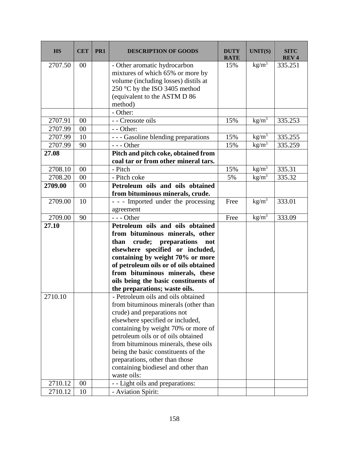| <b>HS</b>          | <b>CET</b> | PR1 | <b>DESCRIPTION OF GOODS</b>                                         | <b>DUTY</b><br><b>RATE</b> | <b>UNIT(S)</b>    | <b>SITC</b><br>REV <sub>4</sub> |
|--------------------|------------|-----|---------------------------------------------------------------------|----------------------------|-------------------|---------------------------------|
| 2707.50            | 00         |     | - Other aromatic hydrocarbon                                        | 15%                        | $\text{kg/m}^3$   | 335.251                         |
|                    |            |     | mixtures of which 65% or more by                                    |                            |                   |                                 |
|                    |            |     | volume (including losses) distils at                                |                            |                   |                                 |
|                    |            |     | 250 °C by the ISO 3405 method                                       |                            |                   |                                 |
|                    |            |     | (equivalent to the ASTM D 86                                        |                            |                   |                                 |
|                    |            |     | method)                                                             |                            |                   |                                 |
|                    | $00\,$     |     | - Other:<br>- - Creosote oils                                       | 15%                        | $\text{kg/m}^3$   | 335.253                         |
| 2707.91<br>2707.99 | 00         |     | - - Other:                                                          |                            |                   |                                 |
| 2707.99            | 10         |     | --- Gasoline blending preparations                                  | 15%                        | $\text{kg/m}^3$   | 335.255                         |
| 2707.99            | 90         |     | $--$ Other                                                          | 15%                        | $\text{kg/m}^3$   | 335.259                         |
| 27.08              |            |     | Pitch and pitch coke, obtained from                                 |                            |                   |                                 |
|                    |            |     | coal tar or from other mineral tars.                                |                            |                   |                                 |
| 2708.10            | 00         |     | - Pitch                                                             | 15%                        | $\text{kg/m}^3$   | 335.31                          |
| 2708.20            | 00         |     | - Pitch coke                                                        | 5%                         | kg/m <sup>3</sup> | 335.32                          |
| 2709.00            | 00         |     | Petroleum oils and oils obtained                                    |                            |                   |                                 |
|                    |            |     | from bituminous minerals, crude.                                    |                            |                   |                                 |
| 2709.00            | 10         |     | - - - Imported under the processing                                 | Free                       | kg/m <sup>3</sup> | 333.01                          |
|                    |            |     | agreement                                                           |                            |                   |                                 |
| 2709.00            | 90         |     | $--$ Other                                                          | Free                       | $\text{kg/m}^3$   | 333.09                          |
| 27.10              |            |     | Petroleum oils and oils obtained                                    |                            |                   |                                 |
|                    |            |     | from bituminous minerals, other                                     |                            |                   |                                 |
|                    |            |     | than<br>crude; preparations<br>not                                  |                            |                   |                                 |
|                    |            |     | elsewhere specified or included,                                    |                            |                   |                                 |
|                    |            |     | containing by weight 70% or more                                    |                            |                   |                                 |
|                    |            |     | of petroleum oils or of oils obtained                               |                            |                   |                                 |
|                    |            |     | from bituminous minerals, these                                     |                            |                   |                                 |
|                    |            |     | oils being the basic constituents of                                |                            |                   |                                 |
| 2710.10            |            |     | the preparations; waste oils.<br>- Petroleum oils and oils obtained |                            |                   |                                 |
|                    |            |     | from bituminous minerals (other than                                |                            |                   |                                 |
|                    |            |     | crude) and preparations not                                         |                            |                   |                                 |
|                    |            |     | elsewhere specified or included,                                    |                            |                   |                                 |
|                    |            |     | containing by weight 70% or more of                                 |                            |                   |                                 |
|                    |            |     | petroleum oils or of oils obtained                                  |                            |                   |                                 |
|                    |            |     | from bituminous minerals, these oils                                |                            |                   |                                 |
|                    |            |     | being the basic constituents of the                                 |                            |                   |                                 |
|                    |            |     | preparations, other than those                                      |                            |                   |                                 |
|                    |            |     | containing biodiesel and other than                                 |                            |                   |                                 |
|                    |            |     | waste oils:                                                         |                            |                   |                                 |
| 2710.12            | $00\,$     |     | - - Light oils and preparations:                                    |                            |                   |                                 |
| 2710.12            | 10         |     | - Aviation Spirit:                                                  |                            |                   |                                 |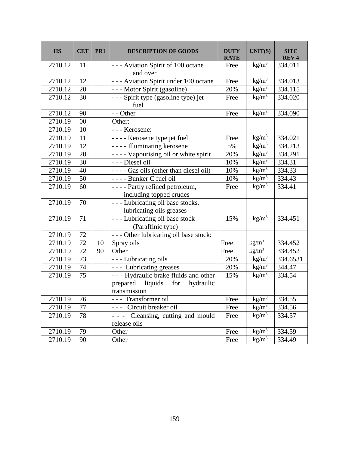| <b>HS</b> | <b>CET</b> | PR <sub>1</sub> | <b>DESCRIPTION OF GOODS</b>                         | <b>DUTY</b><br><b>RATE</b> | <b>UNIT(S)</b>    | <b>SITC</b><br><b>REV4</b> |
|-----------|------------|-----------------|-----------------------------------------------------|----------------------------|-------------------|----------------------------|
| 2710.12   | 11         |                 | - - - Aviation Spirit of 100 octane                 | Free                       | $\text{kg/m}^3$   | 334.011                    |
|           |            |                 | and over                                            |                            |                   |                            |
| 2710.12   | 12         |                 | --- Aviation Spirit under 100 octane                | Free                       | $\text{kg/m}^3$   | 334.013                    |
| 2710.12   | 20         |                 | - - - Motor Spirit (gasoline)                       | 20%                        | kg/m <sup>3</sup> | 334.115                    |
| 2710.12   | 30         |                 | --- Spirit type (gasoline type) jet                 | Free                       | kg/m <sup>3</sup> | 334.020                    |
|           |            |                 | fuel                                                |                            |                   |                            |
| 2710.12   | 90         |                 | - - Other                                           | Free                       | kg/m <sup>3</sup> | 334.090                    |
| 2710.19   | 00         |                 | Other:                                              |                            |                   |                            |
| 2710.19   | 10         |                 | - - - Kerosene:                                     |                            |                   |                            |
| 2710.19   | 11         |                 | - - - - Kerosene type jet fuel                      | Free                       | $\text{kg/m}^3$   | 334.021                    |
| 2710.19   | 12         |                 | - - - - Illuminating kerosene                       | 5%                         | $\text{kg/m}^3$   | 334.213                    |
| 2710.19   | 20         |                 | ---- Vapourising oil or white spirit                | 20%                        | $kg/m^3$          | 334.291                    |
| 2710.19   | 30         |                 | --- Diesel oil                                      | 10%                        | $\text{kg/m}^3$   | 334.31                     |
| 2710.19   | 40         |                 | ---- Gas oils (other than diesel oil)               | 10%                        | kg/m <sup>3</sup> | 334.33                     |
| 2710.19   | 50         |                 | ---- Bunker C fuel oil                              | 10%                        | $\text{kg/m}^3$   | 334.43                     |
| 2710.19   | 60         |                 | - - - - Partly refined petroleum,                   | Free                       | kg/m <sup>3</sup> | 334.41                     |
|           |            |                 | including topped crudes                             |                            |                   |                            |
| 2710.19   | 70         |                 | --- Lubricating oil base stocks,                    |                            |                   |                            |
|           |            |                 | lubricating oils greases                            |                            |                   |                            |
| 2710.19   | 71         |                 | --- Lubricating oil base stock<br>(Paraffinic type) | 15%                        | kg/m <sup>3</sup> | 334.451                    |
| 2710.19   | 72         |                 | --- Other lubricating oil base stock:               |                            |                   |                            |
| 2710.19   | 72         | 10              | Spray oils                                          | Free                       | $\text{kg/m}^3$   | 334.452                    |
| 2710.19   | 72         | 90              | Other                                               | Free                       | $\text{kg/m}^3$   | 334.452                    |
| 2710.19   | 73         |                 | - - - Lubricating oils                              | 20%                        | $kg/m^3$          | 334.6531                   |
| 2710.19   | 74         |                 | --- Lubricating greases                             | 20%                        | $\text{kg/m}^3$   | 344.47                     |
| 2710.19   | 75         |                 | - - - Hydraulic brake fluids and other              | 15%                        | kg/m <sup>3</sup> | 334.54                     |
|           |            |                 | prepared liquids<br>for<br>hydraulic                |                            |                   |                            |
|           |            |                 | transmission                                        |                            |                   |                            |
| 2710.19   | 76         |                 | - - - Transformer oil                               | Free                       | $\text{kg/m}^3$   | 334.55                     |
| 2710.19   | 77         |                 | Circuit breaker oil                                 | Free                       | $kg/m^3$          | 334.56                     |
| 2710.19   | 78         |                 | Cleansing, cutting and mould                        | Free                       | kg/m <sup>3</sup> | 334.57                     |
|           |            |                 | release oils                                        |                            |                   |                            |
| 2710.19   | 79         |                 | Other                                               | Free                       | kg/m <sup>3</sup> | 334.59                     |
| 2710.19   | 90         |                 | Other                                               | Free                       | $\text{kg/m}^3$   | 334.49                     |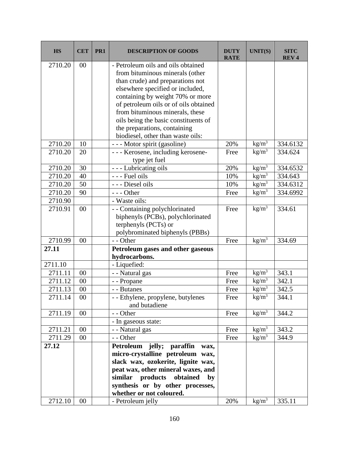| <b>HS</b> | <b>CET</b> | PR1 | <b>DESCRIPTION OF GOODS</b>             | <b>DUTY</b><br><b>RATE</b> | <b>UNIT(S)</b>    | <b>SITC</b><br><b>REV4</b> |
|-----------|------------|-----|-----------------------------------------|----------------------------|-------------------|----------------------------|
| 2710.20   | 00         |     | - Petroleum oils and oils obtained      |                            |                   |                            |
|           |            |     | from bituminous minerals (other         |                            |                   |                            |
|           |            |     | than crude) and preparations not        |                            |                   |                            |
|           |            |     | elsewhere specified or included,        |                            |                   |                            |
|           |            |     | containing by weight 70% or more        |                            |                   |                            |
|           |            |     | of petroleum oils or of oils obtained   |                            |                   |                            |
|           |            |     | from bituminous minerals, these         |                            |                   |                            |
|           |            |     | oils being the basic constituents of    |                            |                   |                            |
|           |            |     | the preparations, containing            |                            |                   |                            |
|           |            |     | biodiesel, other than waste oils:       |                            |                   |                            |
| 2710.20   | 10         |     | - - - Motor spirit (gasoline)           | 20%                        | $\text{kg/m}^3$   | 334.6132                   |
| 2710.20   | 20         |     | - - - Kerosene, including kerosene-     | Free                       | $\text{kg/m}^3$   | 334.624                    |
| 2710.20   | 30         |     | type jet fuel<br>- - - Lubricating oils | 20%                        | $\text{kg/m}^3$   | 334.6532                   |
| 2710.20   | 40         |     | - - - Fuel oils                         | 10%                        | $\text{kg/m}^3$   | 334.643                    |
| 2710.20   | 50         |     | --- Diesel oils                         | 10%                        | $\text{kg/m}^3$   | 334.6312                   |
| 2710.20   | 90         |     | $--$ Other                              | Free                       | kg/m <sup>3</sup> | 334.6992                   |
| 2710.90   |            |     | - Waste oils:                           |                            |                   |                            |
| 2710.91   | 00         |     | - - Containing polychlorinated          | Free                       | kg/m <sup>3</sup> | 334.61                     |
|           |            |     | biphenyls (PCBs), polychlorinated       |                            |                   |                            |
|           |            |     | terphenyls (PCTs) or                    |                            |                   |                            |
|           |            |     | polybrominated biphenyls (PBBs)         |                            |                   |                            |
| 2710.99   | 00         |     | - - Other                               | Free                       | kg/m <sup>3</sup> | 334.69                     |
| 27.11     |            |     | Petroleum gases and other gaseous       |                            |                   |                            |
|           |            |     | hydrocarbons.                           |                            |                   |                            |
| 2711.10   |            |     | - Liquefied:                            |                            |                   |                            |
| 2711.11   | 00         |     | - - Natural gas                         | Free                       | $\text{kg/m}^3$   | 343.1                      |
| 2711.12   | 00         |     | - - Propane                             | Free                       | $\text{kg/m}^3$   | 342.1                      |
| 2711.13   | 00         |     | - - Butanes                             | Free                       | kg/m <sup>3</sup> | 342.5                      |
| 2711.14   | $00\,$     |     | - - Ethylene, propylene, butylenes      | Free                       | $\text{kg/m}^3$   | 344.1                      |
|           |            |     | and butadiene                           |                            |                   |                            |
| 2711.19   | 00         |     | - - Other                               | Free                       | $\text{kg/m}^3$   | 344.2                      |
|           |            |     | - In gaseous state:                     |                            |                   |                            |
| 2711.21   | 00         |     | - - Natural gas                         | Free                       | $\text{kg/m}^3$   | 343.2                      |
| 2711.29   | 00         |     | - - Other                               | Free                       | $kg/m^3$          | 344.9                      |
| 27.12     |            |     | Petroleum jelly; paraffin<br>wax,       |                            |                   |                            |
|           |            |     | micro-crystalline petroleum wax,        |                            |                   |                            |
|           |            |     | slack wax, ozokerite, lignite wax,      |                            |                   |                            |
|           |            |     | peat wax, other mineral waxes, and      |                            |                   |                            |
|           |            |     | similar products obtained<br>by         |                            |                   |                            |
|           |            |     | synthesis or by other processes,        |                            |                   |                            |
|           |            |     | whether or not coloured.                |                            |                   |                            |
| 2712.10   | 00         |     | - Petroleum jelly                       | 20%                        | $\text{kg/m}^3$   | 335.11                     |